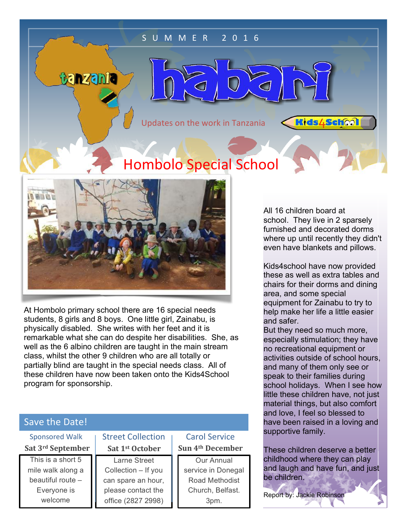### S U M M E R 2 0 1 6

 $\subset$ 

 $\subset$ 

Updates on the work in Tanzania

**Kids4School** 

# **Hombolo Special School**



tanzania

At Hombolo primary school there are 16 special needs students, 8 girls and 8 boys. One little girl, Zainabu, is physically disabled. She writes with her feet and it is remarkable what she can do despite her disabilities. She, as well as the 6 albino children are taught in the main stream class, whilst the other 9 children who are all totally or partially blind are taught in the special needs class. All of these children have now been taken onto the Kids4School program for sponsorship.

## Save the Date!

| <b>Sponsored Walk</b> | <b>Street Collection</b> | <b>Carol Service</b>         |
|-----------------------|--------------------------|------------------------------|
| Sat 3rd September     | Sat 1st October          | Sun 4 <sup>th</sup> December |
| This is a short 5     | <b>Larne Street</b>      | Our Annual                   |
| mile walk along a     | Collection - If you      | service in Donegal           |
| beautiful route -     | can spare an hour,       | Road Methodist               |
| Everyone is           | please contact the       | Church, Belfast.             |
| welcome               | office (2827 2998)       | 3pm.                         |

All 16 children board at school. They live in 2 sparsely furnished and decorated dorms where up until recently they didn't even have blankets and pillows.

Kids4school have now provided these as well as extra tables and chairs for their dorms and dining area, and some special equipment for Zainabu to try to help make her life a little easier and safer.

But they need so much more, especially stimulation; they have no recreational equipment or activities outside of school hours, and many of them only see or speak to their families during school holidays. When I see how little these children have, not just material things, but also comfort and love, I feel so blessed to have been raised in a loving and supportive family.

These children deserve a better childhood where they can play and laugh and have fun, and just be children.

Report by: Jackie Robinson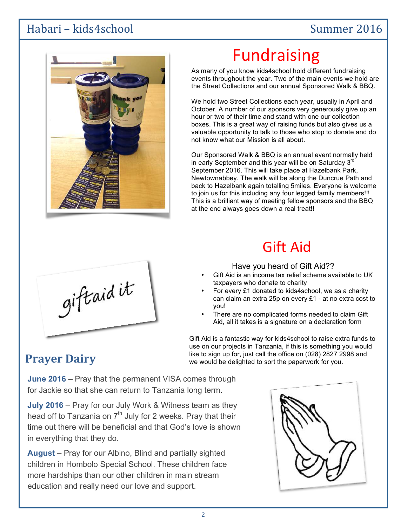## Habari – kids4school Summer 2016



# Fundraising

As many of you know kids4school hold different fundraising events throughout the year. Two of the main events we hold are the Street Collections and our annual Sponsored Walk & BBQ.

We hold two Street Collections each year, usually in April and October. A number of our sponsors very generously give up an hour or two of their time and stand with one our collection boxes. This is a great way of raising funds but also gives us a valuable opportunity to talk to those who stop to donate and do not know what our Mission is all about.

Our Sponsored Walk & BBQ is an annual event normally held in early September and this year will be on Saturday  $3<sup>rc</sup>$ September 2016. This will take place at Hazelbank Park, Newtownabbey. The walk will be along the Duncrue Path and back to Hazelbank again totalling 5miles. Everyone is welcome to join us for this including any four legged family members!!! This is a brilliant way of meeting fellow sponsors and the BBQ at the end always goes down a real treat!!

# Gift Aid

# giftaidit

Have you heard of Gift Aid??

- Gift Aid is an income tax relief scheme available to UK taxpayers who donate to charity
- For every £1 donated to kids4school, we as a charity can claim an extra 25p on every £1 - at no extra cost to you!
- There are no complicated forms needed to claim Gift Aid, all it takes is a signature on a declaration form

Gift Aid is a fantastic way for kids4school to raise extra funds to use on our projects in Tanzania, if this is something you would **Prayer Dairy** Figure 11 I like to sign up for, just call the office on (028) 2827 2998 and **Prayer Dairy** we would be delighted to sort the paperwork for you.

**June 2016** – Pray that the permanent VISA comes through for Jackie so that she can return to Tanzania long term.

**July 2016** – Pray for our July Work & Witness team as they head off to Tanzania on  $7<sup>th</sup>$  July for 2 weeks. Pray that their time out there will be beneficial and that God's love is shown in everything that they do.

**August** – Pray for our Albino, Blind and partially sighted children in Hombolo Special School. These children face more hardships than our other children in main stream education and really need our love and support.

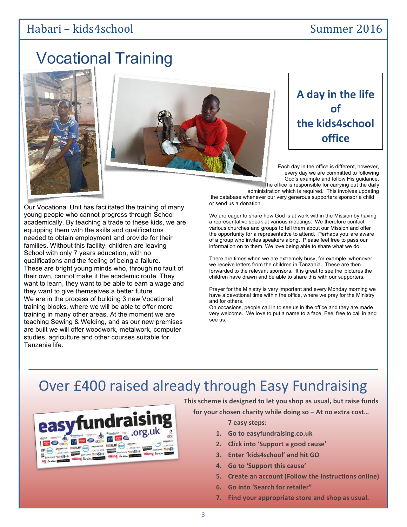## Habari – kids4school Summer 2016

# Vocational Training

Our Vocational Unit has facilitated the training of many young people who cannot progress through School academically. By teaching a trade to these kids, we are

These are bright young minds who, through no fault of their own, cannot make it the academic route. They want to learn, they want to be able to earn a wage and

equipping them with the skills and qualifications needed to obtain employment and provide for their families. Without this facility, children are leaving School with only 7 years education, with no qualifications and the feeling of being a failure.

they want to give themselves a better future. We are in the process of building 3 new Vocational training blocks, where we will be able to offer more training in many other areas. At the moment we are teaching Sewing & Welding, and as our new premises are built we will offer woodwork, metalwork, computer studies, agriculture and other courses suitable for

Tanzania life.





# A day in the life **of the kids4school office**

Each day in the office is different, however, every day we are committed to following God's example and follow His guidance. The office is responsible for carrying out the daily

administration which is required. This involves updating the database whenever our very generous supporters sponsor a child or send us a donation.

We are eager to share how God is at work within the Mission by having a representative speak at various meetings. We therefore contact various churches and groups to tell them about our Mission and offer the opportunity for a representative to attend. Perhaps you are aware of a group who invites speakers along. Please feel free to pass our information on to them. We love being able to share what we do.

There are times when we are extremely busy, for example, whenever we receive letters from the children in Tanzania. These are then forwarded to the relevant sponsors. It is great to see the pictures the children have drawn and be able to share this with our supporters.

Prayer for the Ministry is very important and every Monday morning we have a devotional time within the office, where we pray for the Ministry and for others.

On occasions, people call in to see us in the office and they are made very welcome. We love to put a name to a face. Feel free to call in and see us.

# Over £400 raised already through Easy Fundraising



This scheme is designed to let you shop as usual, but raise funds

for your chosen charity while doing so  $-$  At no extra cost...

**7 easy steps:**

- **1. Go to easyfundraising.co.uk**
- **2. Click into 'Support a good cause'**
- **3. Enter 'kids4school' and hit GO**
- **4. Go to 'Support this cause'**
- **5. Create an account (Follow the instructions online)**
- **6.** Go into 'Search for retailer"
- **7.** Find your appropriate store and shop as usual.